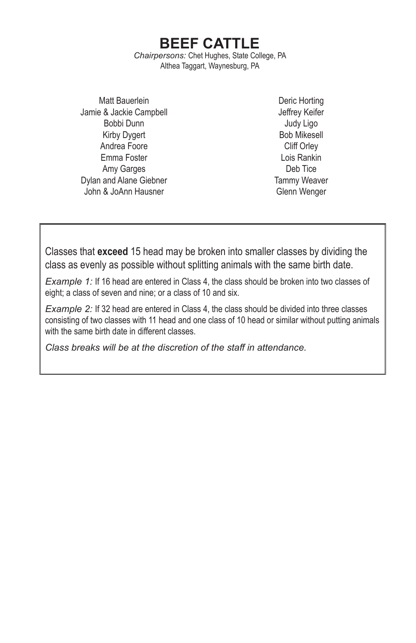**BEEF CATTLE** *Chairpersons:* Chet Hughes, State College, PA Althea Taggart, Waynesburg, PA

Matt Bauerlein Jamie & Jackie Campbell Bobbi Dunn Kirby Dygert Andrea Foore Emma Foster Amy Garges Dylan and Alane Giebner John & JoAnn Hausner

Deric Horting Jeffrey Keifer Judy Ligo Bob Mikesell Cliff Orley Lois Rankin Deb Tice Tammy Weaver Glenn Wenger

Classes that **exceed** 15 head may be broken into smaller classes by dividing the class as evenly as possible without splitting animals with the same birth date.

*Example 1:* If 16 head are entered in Class 4, the class should be broken into two classes of eight; a class of seven and nine; or a class of 10 and six.

*Example 2:* If 32 head are entered in Class 4, the class should be divided into three classes consisting of two classes with 11 head and one class of 10 head or similar without putting animals with the same birth date in different classes.

*Class breaks will be at the discretion of the staff in attendance.*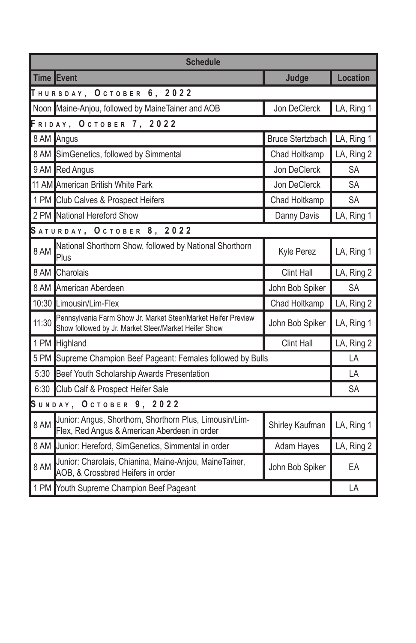| <b>Schedule</b>         |                                                                                                                       |                         |                 |  |  |
|-------------------------|-----------------------------------------------------------------------------------------------------------------------|-------------------------|-----------------|--|--|
|                         | Time Event                                                                                                            | Judge                   | <b>Location</b> |  |  |
|                         | <b>THURSDAY, OCTOBER 6, 2022</b>                                                                                      |                         |                 |  |  |
|                         | Noon Maine-Anjou, followed by MaineTainer and AOB                                                                     | Jon DeClerck            | LA, Ring 1      |  |  |
| FRIDAY, OCTOBER 7, 2022 |                                                                                                                       |                         |                 |  |  |
|                         | 8 AM Angus                                                                                                            | <b>Bruce Stertzbach</b> | LA, Ring 1      |  |  |
|                         | 8 AM SimGenetics, followed by Simmental                                                                               | Chad Holtkamp           | LA, Ring 2      |  |  |
|                         | 9 AM Red Angus                                                                                                        | Jon DeClerck            | SA              |  |  |
|                         | 11 AM American British White Park                                                                                     | Jon DeClerck            | <b>SA</b>       |  |  |
|                         | 1 PM Club Calves & Prospect Heifers                                                                                   | Chad Holtkamp           | <b>SA</b>       |  |  |
|                         | 2 PM National Hereford Show                                                                                           | Danny Davis             | LA, Ring 1      |  |  |
|                         | SATURDAY, OCTOBER 8, 2022                                                                                             |                         |                 |  |  |
| 8 AM                    | National Shorthorn Show, followed by National Shorthorn<br>Plus                                                       | Kyle Perez              | LA, Ring 1      |  |  |
| 8 AM                    | Charolais                                                                                                             | <b>Clint Hall</b>       | LA, Ring 2      |  |  |
|                         | 8 AM American Aberdeen                                                                                                | John Bob Spiker         | <b>SA</b>       |  |  |
|                         | 10:30 Limousin/Lim-Flex                                                                                               | Chad Holtkamp           | LA, Ring 2      |  |  |
| 11:30                   | Pennsylvania Farm Show Jr. Market Steer/Market Heifer Preview<br>Show followed by Jr. Market Steer/Market Heifer Show | John Bob Spiker         | LA, Ring 1      |  |  |
|                         | 1 PM Highland<br><b>Clint Hall</b>                                                                                    |                         | LA, Ring 2      |  |  |
|                         | 5 PM Supreme Champion Beef Pageant: Females followed by Bulls                                                         |                         |                 |  |  |
| 5:30                    | Beef Youth Scholarship Awards Presentation                                                                            |                         |                 |  |  |
|                         | 6:30 Club Calf & Prospect Heifer Sale                                                                                 |                         |                 |  |  |
| SUNDAY, OCTOBER 9, 2022 |                                                                                                                       |                         |                 |  |  |
| 8 AM                    | Junior: Angus, Shorthorn, Shorthorn Plus, Limousin/Lim-<br>Flex, Red Angus & American Aberdeen in order               | Shirley Kaufman         | LA, Ring 1      |  |  |
|                         | 8 AM Junior: Hereford, SimGenetics, Simmental in order                                                                | Adam Hayes              | LA, Ring 2      |  |  |
| 8 AM                    | Junior: Charolais, Chianina, Maine-Anjou, MaineTainer,<br>AOB, & Crossbred Heifers in order                           | John Bob Spiker         | EA              |  |  |
|                         | 1 PM Youth Supreme Champion Beef Pageant                                                                              |                         |                 |  |  |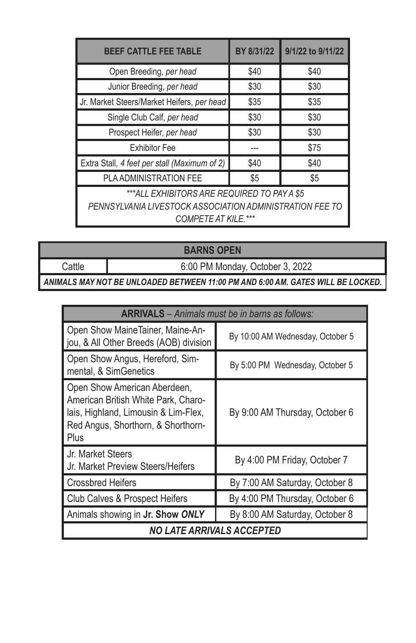| <b>BEEF CATTLE FEE TABLE</b>                                                                                                          | BY 8/31/22 | 9/1/22 to 9/11/22 |  |  |
|---------------------------------------------------------------------------------------------------------------------------------------|------------|-------------------|--|--|
| Open Breeding, per head                                                                                                               | \$40       | \$40              |  |  |
| Junior Breeding, per head                                                                                                             | \$30       | \$30              |  |  |
| Jr. Market Steers/Market Heifers, per head                                                                                            | \$35       | \$35              |  |  |
| Single Club Calf, per head                                                                                                            | \$30       | \$30              |  |  |
| Prospect Heifer, per head                                                                                                             | \$30       | \$30              |  |  |
| <b>Exhibitor Fee</b>                                                                                                                  |            | \$75              |  |  |
| Extra Stall, 4 feet per stall (Maximum of 2)                                                                                          | \$40       | \$40              |  |  |
| <b>PLA ADMINISTRATION FEE</b>                                                                                                         | \$5        | \$5               |  |  |
| ***ALL EXHIBITORS ARE REQUIRED TO PAY A \$5<br>PENNSYLVANIA LIVESTOCK ASSOCIATION ADMINISTRATION FEE TO<br><b>COMPETE AT KILE.***</b> |            |                   |  |  |

**BARNS OPEN**

Cattle 6:00 PM Monday, October 3, 2022

*ANIMALS MAY NOT BE UNLOADED BETWEEN 11:00 PM AND 6:00 AM. GATES WILL BE LOCKED.*

| <b>ARRIVALS</b> – Animals must be in barns as follows:                                                                                                    |                                  |  |  |  |
|-----------------------------------------------------------------------------------------------------------------------------------------------------------|----------------------------------|--|--|--|
| Open Show MaineTainer, Maine-An-<br>jou, & All Other Breeds (AOB) division                                                                                | By 10:00 AM Wednesday, October 5 |  |  |  |
| Open Show Angus, Hereford, Sim-<br>mental, & SimGenetics                                                                                                  | By 5:00 PM Wednesday, October 5  |  |  |  |
| Open Show American Aberdeen,<br>American British White Park, Charo-<br>lais, Highland, Limousin & Lim-Flex,<br>Red Angus, Shorthorn, & Shorthorn-<br>Plus | By 9:00 AM Thursday, October 6   |  |  |  |
| Jr. Market Steers<br>Jr. Market Preview Steers/Heifers                                                                                                    | By 4:00 PM Friday, October 7     |  |  |  |
| <b>Crossbred Heifers</b>                                                                                                                                  | By 7:00 AM Saturday, October 8   |  |  |  |
| Club Calves & Prospect Heifers                                                                                                                            | By 4:00 PM Thursday, October 6   |  |  |  |
| Animals showing in Jr. Show ONLY                                                                                                                          | By 8:00 AM Saturday, October 8   |  |  |  |
| <b>NO LATE ARRIVALS ACCEPTED</b>                                                                                                                          |                                  |  |  |  |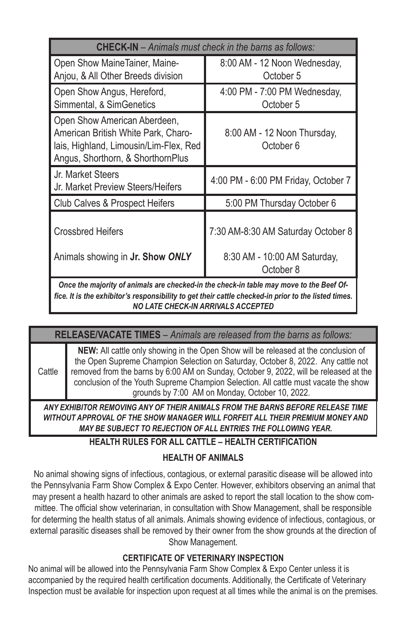| <b>CHECK-IN</b> - Animals must check in the barns as follows:                                                                                                                                                                         |                                           |  |  |  |
|---------------------------------------------------------------------------------------------------------------------------------------------------------------------------------------------------------------------------------------|-------------------------------------------|--|--|--|
| Open Show MaineTainer, Maine-<br>Anjou, & All Other Breeds division                                                                                                                                                                   | 8:00 AM - 12 Noon Wednesday,<br>October 5 |  |  |  |
| Open Show Angus, Hereford,<br>Simmental, & SimGenetics                                                                                                                                                                                | 4:00 PM - 7:00 PM Wednesday,<br>October 5 |  |  |  |
| Open Show American Aberdeen,<br>American British White Park, Charo-<br>lais, Highland, Limousin/Lim-Flex, Red<br>Angus, Shorthorn, & ShorthornPlus                                                                                    | 8:00 AM - 12 Noon Thursday,<br>October 6  |  |  |  |
| Jr. Market Steers<br>Jr. Market Preview Steers/Heifers                                                                                                                                                                                | 4:00 PM - 6:00 PM Friday, October 7       |  |  |  |
| Club Calves & Prospect Heifers                                                                                                                                                                                                        | 5:00 PM Thursday October 6                |  |  |  |
| <b>Crossbred Heifers</b>                                                                                                                                                                                                              | 7:30 AM-8:30 AM Saturday October 8        |  |  |  |
| Animals showing in Jr. Show ONLY                                                                                                                                                                                                      | 8:30 AM - 10:00 AM Saturday,<br>October 8 |  |  |  |
| Once the majority of animals are checked-in the check-in table may move to the Beef Of-<br>fice. It is the exhibitor's responsibility to get their cattle checked-in prior to the listed times.<br>NO LATE CHECK-IN ARRIVALS ACCEPTED |                                           |  |  |  |

#### **RELEASE/VACATE TIMES** – *Animals are released from the barns as follows:*

**Cattle NEW:** All cattle only showing in the Open Show will be released at the conclusion of the Open Supreme Champion Selection on Saturday, October 8, 2022. Any cattle not removed from the barns by 6:00 AM on Sunday, October 9, 2022, will be released at the conclusion of the Youth Supreme Champion Selection. All cattle must vacate the show grounds by 7:00 AM on Monday, October 10, 2022.

*ANY EXHIBITOR REMOVING ANY OF THEIR ANIMALS FROM THE BARNS BEFORE RELEASE TIME WITHOUT APPROVAL OF THE SHOW MANAGER WILL FORFEIT ALL THEIR PREMIUM MONEY AND MAY BE SUBJECT TO REJECTION OF ALL ENTRIES THE FOLLOWING YEAR.* 

## **HEALTH RULES FOR ALL CATTLE – HEALTH CERTIFICATION**

## **HEALTH OF ANIMALS**

No animal showing signs of infectious, contagious, or external parasitic disease will be allowed into the Pennsylvania Farm Show Complex & Expo Center. However, exhibitors observing an animal that may present a health hazard to other animals are asked to report the stall location to the show committee. The official show veterinarian, in consultation with Show Management, shall be responsible for determing the health status of all animals. Animals showing evidence of infectious, contagious, or external parasitic diseases shall be removed by their owner from the show grounds at the direction of Show Management.

## **CERTIFICATE OF VETERINARY INSPECTION**

No animal will be allowed into the Pennsylvania Farm Show Complex & Expo Center unless it is accompanied by the required health certification documents. Additionally, the Certificate of Veterinary Inspection must be available for inspection upon request at all times while the animal is on the premises.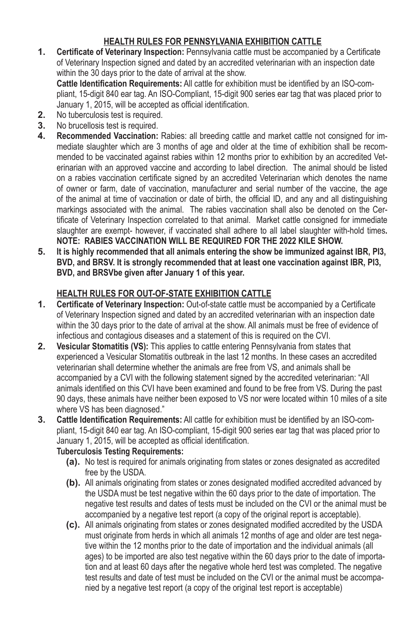# **HEALTH RULES FOR PENNSYLVANIA EXHIBITION CATTLE**

**1. Certificate of Veterinary Inspection:** Pennsylvania cattle must be accompanied by a Certificate of Veterinary Inspection signed and dated by an accredited veterinarian with an inspection date within the 30 days prior to the date of arrival at the show.

**Cattle Identification Requirements:** All cattle for exhibition must be identified by an ISO-compliant, 15-digit 840 ear tag. An ISO-Compliant, 15-digit 900 series ear tag that was placed prior to January 1, 2015, will be accepted as official identification.

- **2.** No tuberculosis test is required.<br>**3.** No brucellosis test is required.
- **3.** No brucellosis test is required.<br>**4.** Recommended Vaccination:
- **4. Recommended Vaccination:** Rabies: all breeding cattle and market cattle not consigned for immediate slaughter which are 3 months of age and older at the time of exhibition shall be recommended to be vaccinated against rabies within 12 months prior to exhibition by an accredited Veterinarian with an approved vaccine and according to label direction. The animal should be listed on a rabies vaccination certificate signed by an accredited Veterinarian which denotes the name of owner or farm, date of vaccination, manufacturer and serial number of the vaccine, the age of the animal at time of vaccination or date of birth, the official ID, and any and all distinguishing markings associated with the animal. The rabies vaccination shall also be denoted on the Certificate of Veterinary Inspection correlated to that animal. Market cattle consigned for immediate slaughter are exempt- however, if vaccinated shall adhere to all label slaughter with-hold times**. NOTE: RABIES VACCINATION WILL BE REQUIRED FOR THE 2022 KILE SHOW.**
- **5. It is highly recommended that all animals entering the show be immunized against IBR, PI3, BVD, and BRSV. It is strongly recommended that at least one vaccination against IBR, PI3, BVD, and BRSVbe given after January 1 of this year.**

### **HEALTH RULES FOR OUT-OF-STATE EXHIBITION CATTLE**

- **1. Certificate of Veterinary Inspection:** Out-of-state cattle must be accompanied by a Certificate of Veterinary Inspection signed and dated by an accredited veterinarian with an inspection date within the 30 days prior to the date of arrival at the show. All animals must be free of evidence of infectious and contagious diseases and a statement of this is required on the CVI.
- **2. Vesicular Stomatitis (VS):** This applies to cattle entering Pennsylvania from states that experienced a Vesicular Stomatitis outbreak in the last 12 months. In these cases an accredited veterinarian shall determine whether the animals are free from VS, and animals shall be accompanied by a CVI with the following statement signed by the accredited veterinarian: "All animals identified on this CVI have been examined and found to be free from VS. During the past 90 days, these animals have neither been exposed to VS nor were located within 10 miles of a site where VS has been diagnosed."
- **3. Cattle Identification Requirements:** All cattle for exhibition must be identified by an ISO-compliant, 15-digit 840 ear tag. An ISO-compliant, 15-digit 900 series ear tag that was placed prior to January 1, 2015, will be accepted as official identification.

#### **Tuberculosis Testing Requirements:**

- **(a).** No test is required for animals originating from states or zones designated as accredited free by the USDA.
- **(b).** All animals originating from states or zones designated modified accredited advanced by the USDA must be test negative within the 60 days prior to the date of importation. The negative test results and dates of tests must be included on the CVI or the animal must be accompanied by a negative test report (a copy of the original report is acceptable).
- **(c).** All animals originating from states or zones designated modified accredited by the USDA must originate from herds in which all animals 12 months of age and older are test negative within the 12 months prior to the date of importation and the individual animals (all ages) to be imported are also test negative within the 60 days prior to the date of importation and at least 60 days after the negative whole herd test was completed. The negative test results and date of test must be included on the CVI or the animal must be accompanied by a negative test report (a copy of the original test report is acceptable)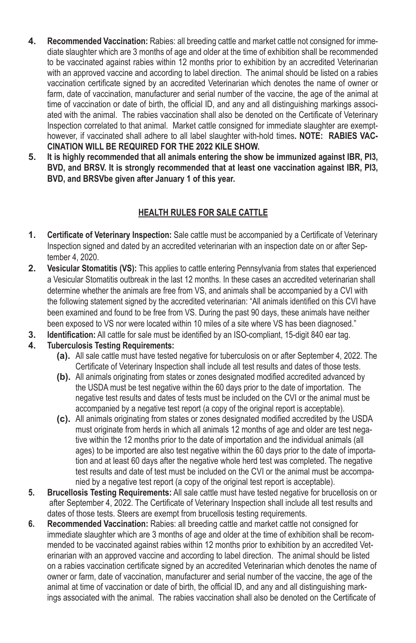- **4. Recommended Vaccination:** Rabies: all breeding cattle and market cattle not consigned for immediate slaughter which are 3 months of age and older at the time of exhibition shall be recommended to be vaccinated against rabies within 12 months prior to exhibition by an accredited Veterinarian with an approved vaccine and according to label direction. The animal should be listed on a rabies vaccination certificate signed by an accredited Veterinarian which denotes the name of owner or farm, date of vaccination, manufacturer and serial number of the vaccine, the age of the animal at time of vaccination or date of birth, the official ID, and any and all distinguishing markings associated with the animal. The rabies vaccination shall also be denoted on the Certificate of Veterinary Inspection correlated to that animal. Market cattle consigned for immediate slaughter are exempthowever, if vaccinated shall adhere to all label slaughter with-hold times**. NOTE: RABIES VAC-CINATION WILL BE REQUIRED FOR THE 2022 KILE SHOW.**
- **5. It is highly recommended that all animals entering the show be immunized against IBR, PI3, BVD, and BRSV. It is strongly recommended that at least one vaccination against IBR, PI3, BVD, and BRSVbe given after January 1 of this year.**

# **HEALTH RULES FOR SALE CATTLE**

- **1. Certificate of Veterinary Inspection:** Sale cattle must be accompanied by a Certificate of Veterinary Inspection signed and dated by an accredited veterinarian with an inspection date on or after September 4, 2020.
- **2. Vesicular Stomatitis (VS):** This applies to cattle entering Pennsylvania from states that experienced a Vesicular Stomatitis outbreak in the last 12 months. In these cases an accredited veterinarian shall determine whether the animals are free from VS, and animals shall be accompanied by a CVI with the following statement signed by the accredited veterinarian: "All animals identified on this CVI have been examined and found to be free from VS. During the past 90 days, these animals have neither been exposed to VS nor were located within 10 miles of a site where VS has been diagnosed."
- **3. Identification:** All cattle for sale must be identified by an ISO-compliant, 15-digit 840 ear tag.
- **4. Tuberculosis Testing Requirements:**
	- **(a).** All sale cattle must have tested negative for tuberculosis on or after September 4, 2022. The Certificate of Veterinary Inspection shall include all test results and dates of those tests.
	- **(b).** All animals originating from states or zones designated modified accredited advanced by the USDA must be test negative within the 60 days prior to the date of importation. The negative test results and dates of tests must be included on the CVI or the animal must be accompanied by a negative test report (a copy of the original report is acceptable).
	- **(c).** All animals originating from states or zones designated modified accredited by the USDA must originate from herds in which all animals 12 months of age and older are test negative within the 12 months prior to the date of importation and the individual animals (all ages) to be imported are also test negative within the 60 days prior to the date of importation and at least 60 days after the negative whole herd test was completed. The negative test results and date of test must be included on the CVI or the animal must be accompanied by a negative test report (a copy of the original test report is acceptable).
- **5. Brucellosis Testing Requirements:** All sale cattle must have tested negative for brucellosis on or after September 4, 2022. The Certificate of Veterinary Inspection shall include all test results and dates of those tests. Steers are exempt from brucellosis testing requirements.
- **6. Recommended Vaccination:** Rabies: all breeding cattle and market cattle not consigned for immediate slaughter which are 3 months of age and older at the time of exhibition shall be recommended to be vaccinated against rabies within 12 months prior to exhibition by an accredited Veterinarian with an approved vaccine and according to label direction. The animal should be listed on a rabies vaccination certificate signed by an accredited Veterinarian which denotes the name of owner or farm, date of vaccination, manufacturer and serial number of the vaccine, the age of the animal at time of vaccination or date of birth, the official ID, and any and all distinguishing markings associated with the animal. The rabies vaccination shall also be denoted on the Certificate of